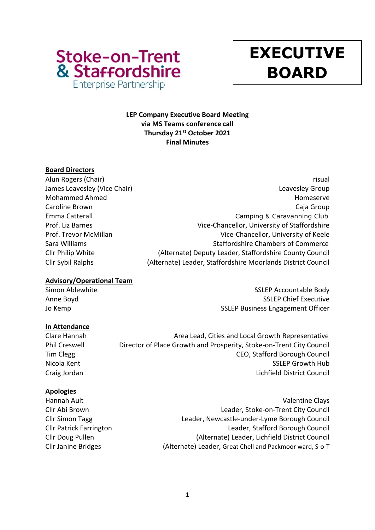

# **y EXECUTIVE BOARD**

# **LEP Company Executive Board Meeting via MS Teams conference call Thursday 21st October 2021 Final Minutes**

# **Board Directors**

- 
- Alun Rogers (Chair) **risual** James Leavesley (Vice Chair) **Leaves According to the Chair** Chair Chair Chair Chair Chair Chair Chair Chair Chai Mohammed Ahmed **Homeserve** Homeserve Homeserve Homeserve Homeserve Homeserve Homeserve Caroline Brown Caroline Brown Catalogue and Catalogue and Catalogue and Catalogue and Catalogue and Catalogue Emma Catterall **Emma Catterall** Camping & Caravanning Club Prof. Liz Barnes **Vice-Chancellor**, University of Staffordshire Prof. Trevor McMillan Vice-Chancellor, University of Keele Sara Williams **Staffordshire Chambers of Commerce** Staffordshire Chambers of Commerce Cllr Philip White (Alternate) Deputy Leader, Staffordshire County Council Cllr Sybil Ralphs (Alternate) Leader, Staffordshire Moorlands District Council

## **Advisory/Operational Team**

Simon Ablewhite Simon Ablewhite SSLEP Accountable Body Anne Boyd **SSLEP Chief Executive** Jo Kemp **SSLEP Business Engagement Officer** 

# **In Attendance**

Clare Hannah Area Lead, Cities and Local Growth Representative Phil Creswell **Director of Place Growth and Prosperity, Stoke-on-Trent City Council** 

Tim Clegg CEO, Stafford Borough Council Nicola Kent Nicola Kent SSLEP Growth Hub Craig Jordan Lichfield District Council

# **Apologies**

Hannah Ault Valentine Clays Cllr Abi Brown Leader, Stoke-on-Trent City Council Cllr Simon Tagg Leader, Newcastle-under-Lyme Borough Council Cllr Patrick Farrington Leader, Stafford Borough Council

Cllr Doug Pullen (Alternate) Leader, Lichfield District Council Cllr Janine Bridges (Alternate) Leader, Great Chell and Packmoor ward, S-o-T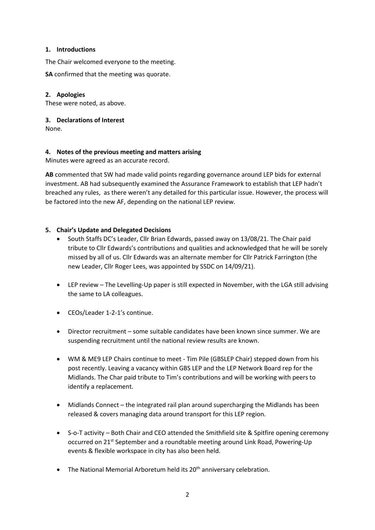#### **1. Introductions**

The Chair welcomed everyone to the meeting.

**SA** confirmed that the meeting was quorate.

#### **2. Apologies**

These were noted, as above.

#### **3. Declarations of Interest**

None.

#### **4. Notes of the previous meeting and matters arising**

Minutes were agreed as an accurate record.

**AB** commented that SW had made valid points regarding governance around LEP bids for external investment. AB had subsequently examined the Assurance Framework to establish that LEP hadn't breached any rules, as there weren't any detailed for this particular issue. However, the process will be factored into the new AF, depending on the national LEP review.

## **5. Chair's Update and Delegated Decisions**

- South Staffs DC's Leader, Cllr Brian Edwards, passed away on 13/08/21. The Chair paid tribute to Cllr Edwards's contributions and qualities and acknowledged that he will be sorely missed by all of us. Cllr Edwards was an alternate member for Cllr Patrick Farrington (the new Leader, Cllr Roger Lees, was appointed by SSDC on 14/09/21).
- LEP review The Levelling-Up paper is still expected in November, with the LGA still advising the same to LA colleagues.
- CEOs/Leader 1-2-1's continue.
- Director recruitment some suitable candidates have been known since summer. We are suspending recruitment until the national review results are known.
- WM & ME9 LEP Chairs continue to meet Tim Pile (GBSLEP Chair) stepped down from his post recently. Leaving a vacancy within GBS LEP and the LEP Network Board rep for the Midlands. The Char paid tribute to Tim's contributions and will be working with peers to identify a replacement.
- Midlands Connect the integrated rail plan around supercharging the Midlands has been released & covers managing data around transport for this LEP region.
- S-o-T activity Both Chair and CEO attended the Smithfield site & Spitfire opening ceremony occurred on 21<sup>st</sup> September and a roundtable meeting around Link Road, Powering-Up events & flexible workspace in city has also been held.
- The National Memorial Arboretum held its 20<sup>th</sup> anniversary celebration.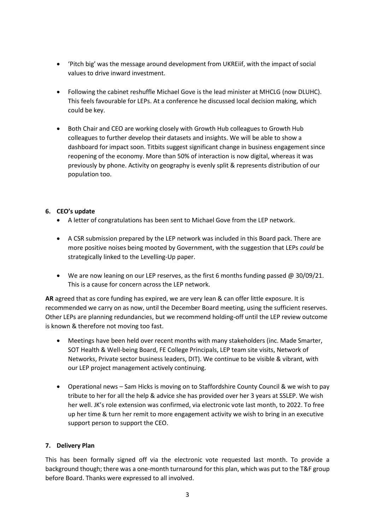- 'Pitch big' was the message around development from UKREiif, with the impact of social values to drive inward investment.
- Following the cabinet reshuffle Michael Gove is the lead minister at MHCLG (now DLUHC). This feels favourable for LEPs. At a conference he discussed local decision making, which could be key.
- Both Chair and CEO are working closely with Growth Hub colleagues to Growth Hub colleagues to further develop their datasets and insights. We will be able to show a dashboard for impact soon. Titbits suggest significant change in business engagement since reopening of the economy. More than 50% of interaction is now digital, whereas it was previously by phone. Activity on geography is evenly split & represents distribution of our population too.

## **6. CEO's update**

- A letter of congratulations has been sent to Michael Gove from the LEP network.
- A CSR submission prepared by the LEP network was included in this Board pack. There are more positive noises being mooted by Government, with the suggestion that LEPs *could* be strategically linked to the Levelling-Up paper.
- We are now leaning on our LEP reserves, as the first 6 months funding passed  $\omega$  30/09/21. This is a cause for concern across the LEP network.

**AR** agreed that as core funding has expired, we are very lean & can offer little exposure. It is recommended we carry on as now, until the December Board meeting, using the sufficient reserves. Other LEPs are planning redundancies, but we recommend holding-off until the LEP review outcome is known & therefore not moving too fast.

- Meetings have been held over recent months with many stakeholders (inc. Made Smarter, SOT Health & Well-being Board, FE College Principals, LEP team site visits, Network of Networks, Private sector business leaders, DIT). We continue to be visible & vibrant, with our LEP project management actively continuing.
- Operational news Sam Hicks is moving on to Staffordshire County Council & we wish to pay tribute to her for all the help & advice she has provided over her 3 years at SSLEP. We wish her well. JK's role extension was confirmed, via electronic vote last month, to 2022. To free up her time & turn her remit to more engagement activity we wish to bring in an executive support person to support the CEO.

## **7. Delivery Plan**

This has been formally signed off via the electronic vote requested last month. To provide a background though; there was a one-month turnaround for this plan, which was put to the T&F group before Board. Thanks were expressed to all involved.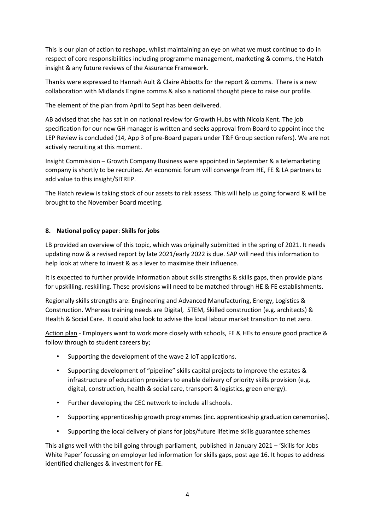This is our plan of action to reshape, whilst maintaining an eye on what we must continue to do in respect of core responsibilities including programme management, marketing & comms, the Hatch insight & any future reviews of the Assurance Framework.

Thanks were expressed to Hannah Ault & Claire Abbotts for the report & comms. There is a new collaboration with Midlands Engine comms & also a national thought piece to raise our profile.

The element of the plan from April to Sept has been delivered.

AB advised that she has sat in on national review for Growth Hubs with Nicola Kent. The job specification for our new GH manager is written and seeks approval from Board to appoint ince the LEP Review is concluded (14, App 3 of pre-Board papers under T&F Group section refers). We are not actively recruiting at this moment.

Insight Commission – Growth Company Business were appointed in September & a telemarketing company is shortly to be recruited. An economic forum will converge from HE, FE & LA partners to add value to this insight/SITREP.

The Hatch review is taking stock of our assets to risk assess. This will help us going forward & will be brought to the November Board meeting.

#### **8. National policy paper**: **Skills for jobs**

LB provided an overview of this topic, which was originally submitted in the spring of 2021. It needs updating now & a revised report by late 2021/early 2022 is due. SAP will need this information to help look at where to invest & as a lever to maximise their influence.

It is expected to further provide information about skills strengths & skills gaps, then provide plans for upskilling, reskilling. These provisions will need to be matched through HE & FE establishments.

Regionally skills strengths are: Engineering and Advanced Manufacturing, Energy, Logistics & Construction. Whereas training needs are Digital, STEM, Skilled construction (e.g. architects) & Health & Social Care. It could also look to advise the local labour market transition to net zero.

Action plan - Employers want to work more closely with schools, FE & HEs to ensure good practice & follow through to student careers by;

- Supporting the development of the wave 2 IoT applications.
- Supporting development of "pipeline" skills capital projects to improve the estates & infrastructure of education providers to enable delivery of priority skills provision (e.g. digital, construction, health & social care, transport & logistics, green energy).
- Further developing the CEC network to include all schools.
- Supporting apprenticeship growth programmes (inc. apprenticeship graduation ceremonies).
- Supporting the local delivery of plans for jobs/future lifetime skills guarantee schemes

This aligns well with the bill going through parliament, published in January 2021 – 'Skills for Jobs White Paper' focussing on employer led information for skills gaps, post age 16. It hopes to address identified challenges & investment for FE.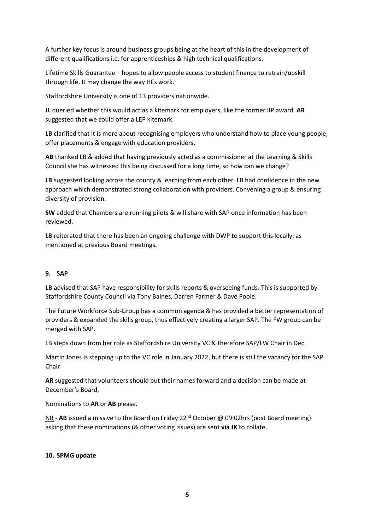A further key focus is around business groups being at the heart of this in the development of different qualifications i.e. for apprenticeships & high technical qualifications.

Lifetime Skills Guarantee – hopes to allow people access to student finance to retrain/upskill through life. It may change the way HEs work.

Staffordshire University is one of 13 providers nationwide.

**JL** queried whether this would act as a kitemark for employers, like the former IIP award. **AR**  suggested that we could offer a LEP kitemark.

LB clarified that it is more about recognising employers who understand how to place young people, offer placements & engage with education providers.

**AB** thanked LB & added that having previously acted as a commissioner at the Learning & Skills Council she has witnessed this being discussed for a long time, so how can we change?

**LB** suggested looking across the county & learning from each other. LB had confidence in the new approach which demonstrated strong collaboration with providers. Convening a group & ensuring diversity of provision.

**SW** added that Chambers are running pilots & will share with SAP once information has been reviewed.

**LB** reiterated that there has been an ongoing challenge with DWP to support this locally, as mentioned at previous Board meetings.

#### **9. SAP**

**LB** advised that SAP have responsibility for skills reports & overseeing funds. This is supported by Staffordshire County Council via Tony Baines, Darren Farmer & Dave Poole.

The Future Workforce Sub-Group has a common agenda & has provided a better representation of providers & expanded the skills group, thus effectively creating a larger SAP. The FW group can be merged with SAP.

LB steps down from her role as Staffordshire University VC & therefore SAP/FW Chair in Dec.

Martin Jones is stepping up to the VC role in January 2022, but there is still the vacancy for the SAP Chair

**AR** suggested that volunteers should put their names forward and a decision can be made at December's Board,

Nominations to **AR** or **AB** please.

NB - **AB** issued a missive to the Board on Friday 22<sup>nd</sup> October @ 09:02hrs (post Board meeting) asking that these nominations (& other voting issues) are sent **via JK** to collate.

#### **10. SPMG update**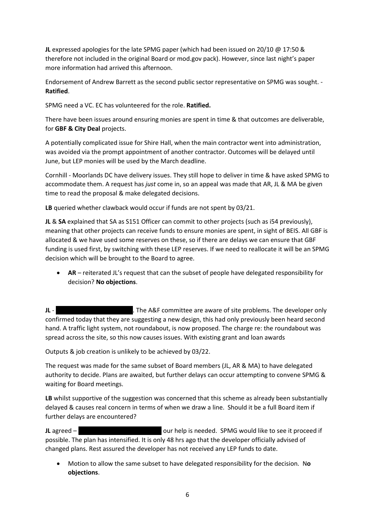**JL** expressed apologies for the late SPMG paper (which had been issued on 20/10 @ 17:50 & therefore not included in the original Board or mod.gov pack). However, since last night's paper more information had arrived this afternoon.

Endorsement of Andrew Barrett as the second public sector representative on SPMG was sought. - **Ratified**.

SPMG need a VC. EC has volunteered for the role. **Ratified.**

There have been issues around ensuring monies are spent in time & that outcomes are deliverable, for **GBF & City Deal** projects.

A potentially complicated issue for Shire Hall, when the main contractor went into administration, was avoided via the prompt appointment of another contractor. Outcomes will be delayed until June, but LEP monies will be used by the March deadline.

Cornhill - Moorlands DC have delivery issues. They still hope to deliver in time & have asked SPMG to accommodate them. A request has *just* come in, so an appeal was made that AR, JL & MA be given time to read the proposal & make delegated decisions.

**LB** queried whether clawback would occur if funds are not spent by 03/21.

**JL** & **SA** explained that SA as S151 Officer can commit to other projects (such as i54 previously), meaning that other projects can receive funds to ensure monies are spent, in sight of BEIS. All GBF is allocated & we have used some reserves on these, so if there are delays we can ensure that GBF funding is used first, by switching with these LEP reserves. If we need to reallocate it will be an SPMG decision which will be brought to the Board to agree.

• **AR** – reiterated JL's request that can the subset of people have delegated responsibility for decision? **No objections**.

**JL** - **Blugher 2** - Blythe Park is still a red flag. The A&F committee are aware of site problems. The developer only confirmed today that they are suggesting a new design, this had only previously been heard second hand. A traffic light system, not roundabout, is now proposed. The charge re: the roundabout was spread across the site, so this now causes issues. With existing grant and loan awards

Outputs & job creation is unlikely to be achieved by 03/22.

The request was made for the same subset of Board members (JL, AR & MA) to have delegated authority to decide. Plans are awaited, but further delays can occur attempting to convene SPMG & waiting for Board meetings.

**LB** whilst supportive of the suggestion was concerned that this scheme as already been substantially delayed & causes real concern in terms of when we draw a line. Should it be a full Board item if further delays are encountered?

**JL** agreed – it remains a remain our help is needed. SPMG would like to see it proceed if possible. The plan has intensified. It is only 48 hrs ago that the developer officially advised of changed plans. Rest assured the developer has not received any LEP funds to date.

• Motion to allow the same subset to have delegated responsibility for the decision. N**o objections**.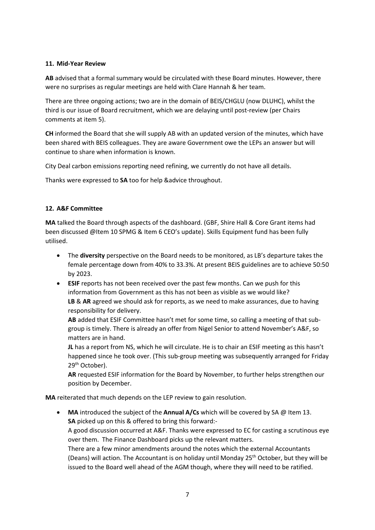## **11. Mid-Year Review**

**AB** advised that a formal summary would be circulated with these Board minutes. However, there were no surprises as regular meetings are held with Clare Hannah & her team.

There are three ongoing actions; two are in the domain of BEIS/CHGLU (now DLUHC), whilst the third is our issue of Board recruitment, which we are delaying until post-review (per Chairs comments at item 5).

**CH** informed the Board that she will supply AB with an updated version of the minutes, which have been shared with BEIS colleagues. They are aware Government owe the LEPs an answer but will continue to share when information is known.

City Deal carbon emissions reporting need refining, we currently do not have all details.

Thanks were expressed to **SA** too for help &advice throughout.

# **12. A&F Committee**

**MA** talked the Board through aspects of the dashboard. (GBF, Shire Hall & Core Grant items had been discussed @Item 10 SPMG & Item 6 CEO's update). Skills Equipment fund has been fully utilised.

- The **diversity** perspective on the Board needs to be monitored, as LB's departure takes the female percentage down from 40% to 33.3%. At present BEIS guidelines are to achieve 50:50 by 2023.
- **ESIF** reports has not been received over the past few months. Can we push for this information from Government as this has not been as visible as we would like? **LB** & **AR** agreed we should ask for reports, as we need to make assurances, due to having responsibility for delivery.

**AB** added that ESIF Committee hasn't met for some time, so calling a meeting of that subgroup is timely. There is already an offer from Nigel Senior to attend November's A&F, so matters are in hand.

**JL** has a report from NS, which he will circulate. He is to chair an ESIF meeting as this hasn't happened since he took over. (This sub-group meeting was subsequently arranged for Friday 29<sup>th</sup> October).

**AR** requested ESIF information for the Board by November, to further helps strengthen our position by December.

**MA** reiterated that much depends on the LEP review to gain resolution.

• **MA** introduced the subject of the **Annual A/Cs** which will be covered by SA @ Item 13. **SA** picked up on this & offered to bring this forward:- A good discussion occurred at A&F. Thanks were expressed to EC for casting a scrutinous eye over them. The Finance Dashboard picks up the relevant matters. There are a few minor amendments around the notes which the external Accountants (Deans) will action. The Accountant is on holiday until Monday 25<sup>th</sup> October, but they will be issued to the Board well ahead of the AGM though, where they will need to be ratified.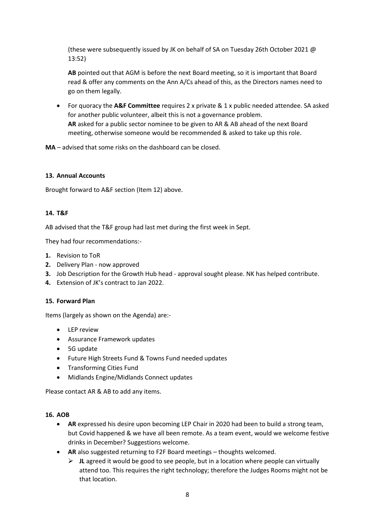(these were subsequently issued by JK on behalf of SA on Tuesday 26th October 2021 @ 13:52)

**AB** pointed out that AGM is before the next Board meeting, so it is important that Board read & offer any comments on the Ann A/Cs ahead of this, as the Directors names need to go on them legally.

• For quoracy the **A&F Committee** requires 2 x private & 1 x public needed attendee. SA asked for another public volunteer, albeit this is not a governance problem. **AR** asked for a public sector nominee to be given to AR & AB ahead of the next Board meeting, otherwise someone would be recommended & asked to take up this role.

**MA** – advised that some risks on the dashboard can be closed.

#### **13. Annual Accounts**

Brought forward to A&F section (Item 12) above.

#### **14. T&F**

AB advised that the T&F group had last met during the first week in Sept.

They had four recommendations:-

- **1.** Revision to ToR
- **2.** Delivery Plan now approved
- **3.** Job Description for the Growth Hub head approval sought please. NK has helped contribute.
- **4.** Extension of JK's contract to Jan 2022.

#### **15. Forward Plan**

Items (largely as shown on the Agenda) are:-

- LEP review
- Assurance Framework updates
- 5G update
- Future High Streets Fund & Towns Fund needed updates
- Transforming Cities Fund
- Midlands Engine/Midlands Connect updates

Please contact AR & AB to add any items.

#### **16. AOB**

- **AR** expressed his desire upon becoming LEP Chair in 2020 had been to build a strong team, but Covid happened & we have all been remote. As a team event, would we welcome festive drinks in December? Suggestions welcome.
- **AR** also suggested returning to F2F Board meetings thoughts welcomed.
	- ➢ **JL** agreed it would be good to see people, but in a location where people can virtually attend too. This requires the right technology; therefore the Judges Rooms might not be that location.